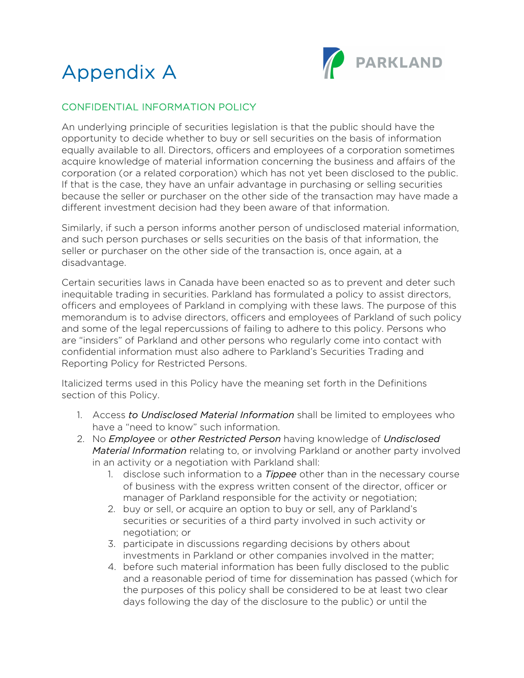



## CONFIDENTIAL INFORMATION POLICY

An underlying principle of securities legislation is that the public should have the opportunity to decide whether to buy or sell securities on the basis of information equally available to all. Directors, officers and employees of a corporation sometimes acquire knowledge of material information concerning the business and affairs of the corporation (or a related corporation) which has not yet been disclosed to the public. If that is the case, they have an unfair advantage in purchasing or selling securities because the seller or purchaser on the other side of the transaction may have made a different investment decision had they been aware of that information.

Similarly, if such a person informs another person of undisclosed material information, and such person purchases or sells securities on the basis of that information, the seller or purchaser on the other side of the transaction is, once again, at a disadvantage.

Certain securities laws in Canada have been enacted so as to prevent and deter such inequitable trading in securities. Parkland has formulated a policy to assist directors, officers and employees of Parkland in complying with these laws. The purpose of this memorandum is to advise directors, officers and employees of Parkland of such policy and some of the legal repercussions of failing to adhere to this policy. Persons who are "insiders" of Parkland and other persons who regularly come into contact with confidential information must also adhere to Parkland's Securities Trading and Reporting Policy for Restricted Persons.

Italicized terms used in this Policy have the meaning set forth in the Definitions section of this Policy.

- 1. Access *to Undisclosed Material Information* shall be limited to employees who have a "need to know" such information.
- 2. No *Employee* or *other Restricted Person* having knowledge of *Undisclosed Material Information* relating to, or involving Parkland or another party involved in an activity or a negotiation with Parkland shall:
	- 1. disclose such information to a *Tippee* other than in the necessary course of business with the express written consent of the director, officer or manager of Parkland responsible for the activity or negotiation;
	- 2. buy or sell, or acquire an option to buy or sell, any of Parkland's securities or securities of a third party involved in such activity or negotiation; or
	- 3. participate in discussions regarding decisions by others about investments in Parkland or other companies involved in the matter;
	- 4. before such material information has been fully disclosed to the public and a reasonable period of time for dissemination has passed (which for the purposes of this policy shall be considered to be at least two clear days following the day of the disclosure to the public) or until the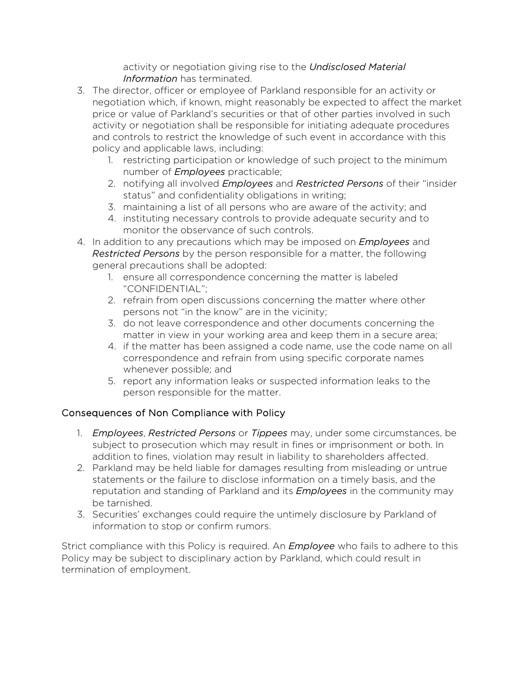activity or negotiation giving rise to the *Undisclosed Material Information* has terminated.

- 3. The director, officer or employee of Parkland responsible for an activity or negotiation which, if known, might reasonably be expected to affect the market price or value of Parkland's securities or that of other parties involved in such activity or negotiation shall be responsible for initiating adequate procedures and controls to restrict the knowledge of such event in accordance with this policy and applicable laws, including:
	- 1. restricting participation or knowledge of such project to the minimum number of *Employees* practicable;
	- 2. notifying all involved *Employees* and *Restricted Persons* of their "insider status" and confidentiality obligations in writing;
	- 3. maintaining a list of all persons who are aware of the activity; and
	- 4. instituting necessary controls to provide adequate security and to monitor the observance of such controls.
- 4. In addition to any precautions which may be imposed on *Employees* and *Restricted Persons* by the person responsible for a matter, the following general precautions shall be adopted:
	- 1. ensure all correspondence concerning the matter is labeled "CONFIDENTIAL";
	- 2. refrain from open discussions concerning the matter where other persons not "in the know" are in the vicinity;
	- 3. do not leave correspondence and other documents concerning the matter in view in your working area and keep them in a secure area;
	- 4. if the matter has been assigned a code name, use the code name on all correspondence and refrain from using specific corporate names whenever possible; and
	- 5. report any information leaks or suspected information leaks to the person responsible for the matter.

## Consequences of Non Compliance with Policy

- 1. *Employees*, *Restricted Persons* or *Tippees* may, under some circumstances, be subject to prosecution which may result in fines or imprisonment or both. In addition to fines, violation may result in liability to shareholders affected.
- 2. Parkland may be held liable for damages resulting from misleading or untrue statements or the failure to disclose information on a timely basis, and the reputation and standing of Parkland and its *Employees* in the community may be tarnished.
- 3. Securities' exchanges could require the untimely disclosure by Parkland of information to stop or confirm rumors.

Strict compliance with this Policy is required. An *Employee* who fails to adhere to this Policy may be subject to disciplinary action by Parkland, which could result in termination of employment.